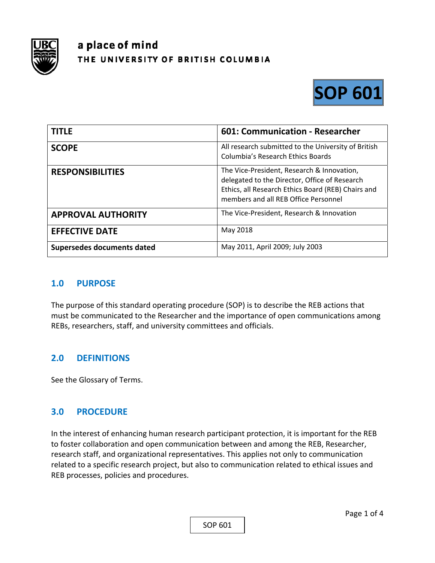

# a place of mind THE UNIVERSITY OF BRITISH COLUMBIA



| <b>TITLE</b>               | 601: Communication - Researcher                                                                                                                                                           |
|----------------------------|-------------------------------------------------------------------------------------------------------------------------------------------------------------------------------------------|
| <b>SCOPE</b>               | All research submitted to the University of British<br><b>Columbia's Research Ethics Boards</b>                                                                                           |
| <b>RESPONSIBILITIES</b>    | The Vice-President, Research & Innovation,<br>delegated to the Director, Office of Research<br>Ethics, all Research Ethics Board (REB) Chairs and<br>members and all REB Office Personnel |
| <b>APPROVAL AUTHORITY</b>  | The Vice-President, Research & Innovation                                                                                                                                                 |
| <b>EFFECTIVE DATE</b>      | May 2018                                                                                                                                                                                  |
| Supersedes documents dated | May 2011, April 2009; July 2003                                                                                                                                                           |

# **1.0 PURPOSE**

The purpose of this standard operating procedure (SOP) is to describe the REB actions that must be communicated to the Researcher and the importance of open communications among REBs, researchers, staff, and university committees and officials.

# **2.0 DEFINITIONS**

See the Glossary of Terms.

# **3.0 PROCEDURE**

In the interest of enhancing human research participant protection, it is important for the REB to foster collaboration and open communication between and among the REB, Researcher, research staff, and organizational representatives. This applies not only to communication related to a specific research project, but also to communication related to ethical issues and REB processes, policies and procedures.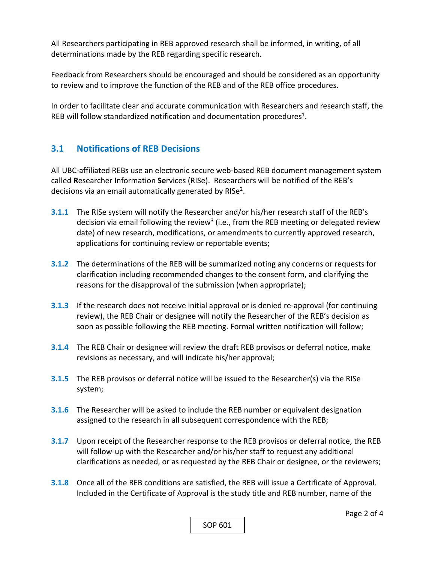All Researchers participating in REB approved research shall be informed, in writing, of all determinations made by the REB regarding specific research.

Feedback from Researchers should be encouraged and should be considered as an opportunity to review and to improve the function of the REB and of the REB office procedures.

In order to facilitate clear and accurate communication with Researchers and research staff, the REB will follow standardized notification and documentation procedures<sup>1</sup>.

# **3.1 Notifications of REB Decisions**

All UBC‐affiliated REBs use an electronic secure web‐based REB document management system called **R**esearcher **I**nformation **Se**rvices (RISe). Researchers will be notified of the REB's decisions via an email automatically generated by RISe<sup>2</sup>.

- **3.1.1** The RISe system will notify the Researcher and/or his/her research staff of the REB's decision via email following the review<sup>3</sup> (i.e., from the REB meeting or delegated review date) of new research, modifications, or amendments to currently approved research, applications for continuing review or reportable events;
- **3.1.2** The determinations of the REB will be summarized noting any concerns or requests for clarification including recommended changes to the consent form, and clarifying the reasons for the disapproval of the submission (when appropriate);
- **3.1.3** If the research does not receive initial approval or is denied re-approval (for continuing review), the REB Chair or designee will notify the Researcher of the REB's decision as soon as possible following the REB meeting. Formal written notification will follow;
- **3.1.4**  The REB Chair or designee will review the draft REB provisos or deferral notice, make revisions as necessary, and will indicate his/her approval;
- **3.1.5**  The REB provisos or deferral notice will be issued to the Researcher(s) via the RISe system;
- **3.1.6**  The Researcher will be asked to include the REB number or equivalent designation assigned to the research in all subsequent correspondence with the REB;
- **3.1.7** Upon receipt of the Researcher response to the REB provisos or deferral notice, the REB will follow-up with the Researcher and/or his/her staff to request any additional clarifications as needed, or as requested by the REB Chair or designee, or the reviewers;
- **3.1.8**  Once all of the REB conditions are satisfied, the REB will issue a Certificate of Approval. Included in the Certificate of Approval is the study title and REB number, name of the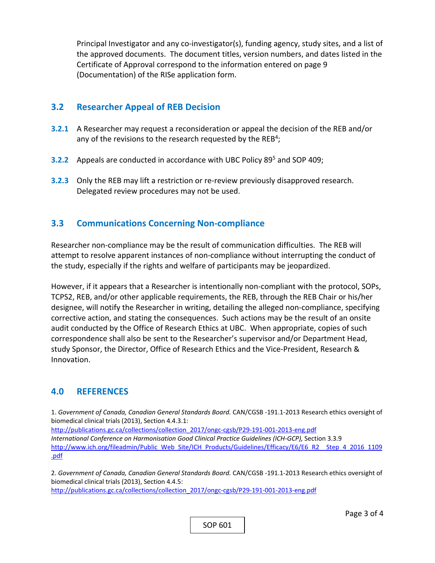Principal Investigator and any co-investigator(s), funding agency, study sites, and a list of the approved documents. The document titles, version numbers, and dates listed in the Certificate of Approval correspond to the information entered on page 9 (Documentation) of the RISe application form.

#### **3.2 Researcher Appeal of REB Decision**

- **3.2.1** A Researcher may request a reconsideration or appeal the decision of the REB and/or any of the revisions to the research requested by the  $REB<sup>4</sup>$ ;
- **3.2.2** Appeals are conducted in accordance with UBC Policy 89<sup>5</sup> and SOP 409;
- **3.2.3** Only the REB may lift a restriction or re-review previously disapproved research. Delegated review procedures may not be used.

# **3.3 Communications Concerning Non‐compliance**

Researcher non‐compliance may be the result of communication difficulties. The REB will attempt to resolve apparent instances of non‐compliance without interrupting the conduct of the study, especially if the rights and welfare of participants may be jeopardized.

However, if it appears that a Researcher is intentionally non‐compliant with the protocol, SOPs, TCPS2, REB, and/or other applicable requirements, the REB, through the REB Chair or his/her designee, will notify the Researcher in writing, detailing the alleged non‐compliance, specifying corrective action, and stating the consequences. Such actions may be the result of an onsite audit conducted by the Office of Research Ethics at UBC. When appropriate, copies of such correspondence shall also be sent to the Researcher's supervisor and/or Department Head, study Sponsor, the Director, Office of Research Ethics and the Vice‐President, Research & Innovation.

# **4.0 REFERENCES**

1. *Government of Canada, Canadian General Standards Board.* CAN/CGSB ‐191.1‐2013 Research ethics oversight of biomedical clinical trials (2013), Section 4.4.3.1:

http://publications.gc.ca/collections/collection\_2017/ongc‐cgsb/P29‐191‐001‐2013‐eng.pdf *International Conference on Harmonisation Good Clinical Practice Guidelines (ICH‐GCP),* Section 3.3.9 http://www.ich.org/fileadmin/Public\_Web\_Site/ICH\_Products/Guidelines/Efficacy/E6/E6\_R2\_\_Step\_4\_2016\_1109 .pdf

2. *Government of Canada, Canadian General Standards Board.* CAN/CGSB ‐191.1‐2013 Research ethics oversight of biomedical clinical trials (2013), Section 4.4.5:

http://publications.gc.ca/collections/collection\_2017/ongc‐cgsb/P29‐191‐001‐2013‐eng.pdf